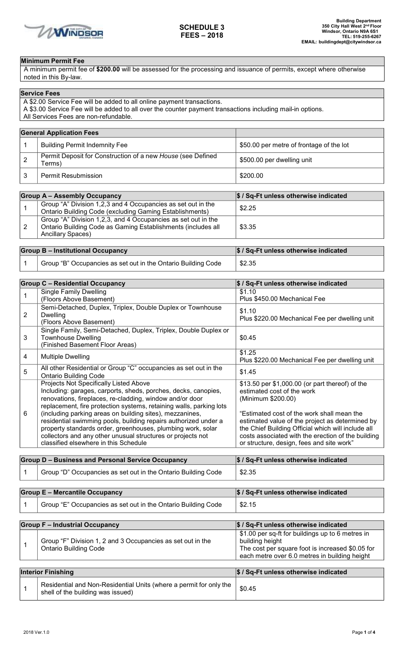

## **Minimum Permit Fee**

A minimum permit fee of **\$200.00** will be assessed for the processing and issuance of permits, except where otherwise noted in this By-law.

| <b>Service Fees</b>                                                                                        |
|------------------------------------------------------------------------------------------------------------|
| A \$2.00 Service Fee will be added to all online payment transactions.                                     |
| A \$3.00 Service Fee will be added to all over the counter payment transactions including mail-in options. |
| All Services Fees are non-refundable.                                                                      |

| <b>General Application Fees</b>                                       |                                          |
|-----------------------------------------------------------------------|------------------------------------------|
| <b>Building Permit Indemnity Fee</b>                                  | \$50.00 per metre of frontage of the lot |
| Permit Deposit for Construction of a new House (see Defined<br>Terms) | \$500.00 per dwelling unit               |
| Permit Resubmission                                                   | \$200.00                                 |

| <b>Group A - Assembly Occupancy</b> |                                                                                                                                                           | \$ / Sq-Ft unless otherwise indicated |
|-------------------------------------|-----------------------------------------------------------------------------------------------------------------------------------------------------------|---------------------------------------|
|                                     | Group "A" Division 1,2,3 and 4 Occupancies as set out in the<br>Ontario Building Code (excluding Gaming Establishments)                                   | \$2.25                                |
|                                     | Group "A" Division 1,2,3, and 4 Occupancies as set out in the<br>Ontario Building Code as Gaming Establishments (includes all<br><b>Ancillary Spaces)</b> | \$3.35                                |

| <b>Group B - Institutional Occupancy</b> |                                                               | \$ / Sq-Ft unless otherwise indicated |
|------------------------------------------|---------------------------------------------------------------|---------------------------------------|
|                                          | Group "B" Occupancies as set out in the Ontario Building Code | \$2.35                                |

| <b>Group C - Residential Occupancy</b>                                                            |                                                                                                                                                                                                                                                                                                                                                                                                                                                                                                                                                   | \$ / Sq-Ft unless otherwise indicated                                                                                                                                                                                                                                                                                                                         |
|---------------------------------------------------------------------------------------------------|---------------------------------------------------------------------------------------------------------------------------------------------------------------------------------------------------------------------------------------------------------------------------------------------------------------------------------------------------------------------------------------------------------------------------------------------------------------------------------------------------------------------------------------------------|---------------------------------------------------------------------------------------------------------------------------------------------------------------------------------------------------------------------------------------------------------------------------------------------------------------------------------------------------------------|
| $\mathbf 1$                                                                                       | <b>Single Family Dwelling</b><br>(Floors Above Basement)                                                                                                                                                                                                                                                                                                                                                                                                                                                                                          | \$1.10<br>Plus \$450.00 Mechanical Fee                                                                                                                                                                                                                                                                                                                        |
| 2                                                                                                 | Semi-Detached, Duplex, Triplex, Double Duplex or Townhouse<br>Dwelling<br>(Floors Above Basement)                                                                                                                                                                                                                                                                                                                                                                                                                                                 | \$1.10<br>Plus \$220.00 Mechanical Fee per dwelling unit                                                                                                                                                                                                                                                                                                      |
| 3                                                                                                 | Single Family, Semi-Detached, Duplex, Triplex, Double Duplex or<br><b>Townhouse Dwelling</b><br>(Finished Basement Floor Areas)                                                                                                                                                                                                                                                                                                                                                                                                                   | \$0.45                                                                                                                                                                                                                                                                                                                                                        |
| 4                                                                                                 | <b>Multiple Dwelling</b>                                                                                                                                                                                                                                                                                                                                                                                                                                                                                                                          | \$1.25<br>Plus \$220.00 Mechanical Fee per dwelling unit                                                                                                                                                                                                                                                                                                      |
| 5                                                                                                 | All other Residential or Group "C" occupancies as set out in the<br><b>Ontario Building Code</b>                                                                                                                                                                                                                                                                                                                                                                                                                                                  | \$1.45                                                                                                                                                                                                                                                                                                                                                        |
| 6                                                                                                 | Projects Not Specifically Listed Above<br>Including: garages, carports, sheds, porches, decks, canopies,<br>renovations, fireplaces, re-cladding, window and/or door<br>replacement, fire protection systems, retaining walls, parking lots<br>(including parking areas on building sites), mezzanines,<br>residential swimming pools, building repairs authorized under a<br>property standards order, greenhouses, plumbing work, solar<br>collectors and any other unusual structures or projects not<br>classified elsewhere in this Schedule | \$13.50 per \$1,000.00 (or part thereof) of the<br>estimated cost of the work<br>(Minimum \$200.00)<br>"Estimated cost of the work shall mean the<br>estimated value of the project as determined by<br>the Chief Building Official which will include all<br>costs associated with the erection of the building<br>or structure, design, fees and site work" |
| <b>Group D - Business and Personal Service Occupancy</b><br>\$ / Sq-Ft unless otherwise indicated |                                                                                                                                                                                                                                                                                                                                                                                                                                                                                                                                                   |                                                                                                                                                                                                                                                                                                                                                               |
| 1                                                                                                 | Group "D" Occupancies as set out in the Ontario Building Code                                                                                                                                                                                                                                                                                                                                                                                                                                                                                     | \$2.35                                                                                                                                                                                                                                                                                                                                                        |
|                                                                                                   | <b>Group E - Mercantile Occupancy</b>                                                                                                                                                                                                                                                                                                                                                                                                                                                                                                             | \$ / Sq-Ft unless otherwise indicated                                                                                                                                                                                                                                                                                                                         |
| 1                                                                                                 | Group "E" Occupancies as set out in the Ontario Building Code                                                                                                                                                                                                                                                                                                                                                                                                                                                                                     | \$2.15                                                                                                                                                                                                                                                                                                                                                        |

**Group F – Industrial Occupancy \$ / Sq-Ft unless otherwise indicated** 1 Group "F" Division 1, 2 and 3 Occupancies as set out in the Ontario Building Code \$1.00 per sq-ft for buildings up to 6 metres in building height The cost per square foot is increased \$0.05 for each metre over 6.0 metres in building height **Interior Finishing \$ / Sq-Ft unless otherwise indicated** 1 Residential and Non-Residential Units (where a permit for only the shell of the building was issued) \$0.45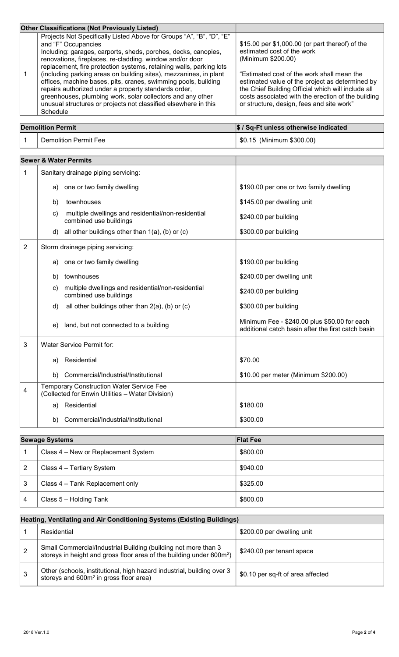| <b>Other Classifications (Not Previously Listed)</b>                                                                                                                                                                                                                                                                                                                                                                                                                                                                                                                                                                                         |                                                                                                                                                                                                                                                                                                                                                               |
|----------------------------------------------------------------------------------------------------------------------------------------------------------------------------------------------------------------------------------------------------------------------------------------------------------------------------------------------------------------------------------------------------------------------------------------------------------------------------------------------------------------------------------------------------------------------------------------------------------------------------------------------|---------------------------------------------------------------------------------------------------------------------------------------------------------------------------------------------------------------------------------------------------------------------------------------------------------------------------------------------------------------|
| Projects Not Specifically Listed Above for Groups "A", "B", "D", "E"<br>and "F" Occupancies<br>Including: garages, carports, sheds, porches, decks, canopies,<br>renovations, fireplaces, re-cladding, window and/or door<br>replacement, fire protection systems, retaining walls, parking lots<br>(including parking areas on building sites), mezzanines, in plant<br>offices, machine bases, pits, cranes, swimming pools, building<br>repairs authorized under a property standards order,<br>greenhouses, plumbing work, solar collectors and any other<br>unusual structures or projects not classified elsewhere in this<br>Schedule | \$15.00 per \$1,000.00 (or part thereof) of the<br>estimated cost of the work<br>(Minimum \$200.00)<br>"Estimated cost of the work shall mean the<br>estimated value of the project as determined by<br>the Chief Building Official which will include all<br>costs associated with the erection of the building<br>or structure, design, fees and site work" |

| <b>Demolition Permit</b> |                       | \$ / Sq-Ft unless otherwise indicated |
|--------------------------|-----------------------|---------------------------------------|
|                          | Demolition Permit Fee | \$0.15 (Minimum \$300.00)             |

|                | <b>Sewer &amp; Water Permits</b>                                                                    |                                                                                                    |
|----------------|-----------------------------------------------------------------------------------------------------|----------------------------------------------------------------------------------------------------|
| 1              | Sanitary drainage piping servicing:                                                                 |                                                                                                    |
|                | a) one or two family dwelling                                                                       | \$190.00 per one or two family dwelling                                                            |
|                | townhouses<br>b)                                                                                    | \$145.00 per dwelling unit                                                                         |
|                | multiple dwellings and residential/non-residential<br>c)<br>combined use buildings                  | \$240.00 per building                                                                              |
|                | d) all other buildings other than $1(a)$ , (b) or (c)                                               | \$300.00 per building                                                                              |
| $\overline{2}$ | Storm drainage piping servicing:                                                                    |                                                                                                    |
|                | one or two family dwelling<br>a)                                                                    | \$190.00 per building                                                                              |
|                | townhouses<br>b)                                                                                    | \$240.00 per dwelling unit                                                                         |
|                | multiple dwellings and residential/non-residential<br>C)<br>combined use buildings                  | \$240.00 per building                                                                              |
|                | all other buildings other than 2(a), (b) or (c)<br>d)                                               | \$300.00 per building                                                                              |
|                | land, but not connected to a building<br>e)                                                         | Minimum Fee - \$240.00 plus \$50.00 for each<br>additional catch basin after the first catch basin |
| 3              | Water Service Permit for:                                                                           |                                                                                                    |
|                | Residential<br>a)                                                                                   | \$70.00                                                                                            |
|                | b) Commercial/Industrial/Institutional                                                              | \$10.00 per meter (Minimum \$200.00)                                                               |
| 4              | <b>Temporary Construction Water Service Fee</b><br>(Collected for Enwin Utilities - Water Division) |                                                                                                    |
|                | Residential<br>a)                                                                                   | \$180.00                                                                                           |
|                | Commercial/Industrial/Institutional<br>b)                                                           | \$300.00                                                                                           |

|   | <b>Sewage Systems</b>               | <b>Flat Fee</b> |
|---|-------------------------------------|-----------------|
|   | Class 4 – New or Replacement System | \$800.00        |
|   | Class 4 - Tertiary System           | \$940.00        |
| 3 | Class 4 – Tank Replacement only     | \$325.00        |
| 4 | Class 5 - Holding Tank              | \$800.00        |

| Heating, Ventilating and Air Conditioning Systems (Existing Buildings) |                                                                                                                                                    |                                   |
|------------------------------------------------------------------------|----------------------------------------------------------------------------------------------------------------------------------------------------|-----------------------------------|
|                                                                        | Residential                                                                                                                                        | \$200.00 per dwelling unit        |
| 2                                                                      | Small Commercial/Industrial Building (building not more than 3<br>storeys in height and gross floor area of the building under 600m <sup>2</sup> ) | \$240.00 per tenant space         |
|                                                                        | Other (schools, institutional, high hazard industrial, building over 3<br>storeys and 600m <sup>2</sup> in gross floor area)                       | \$0.10 per sq-ft of area affected |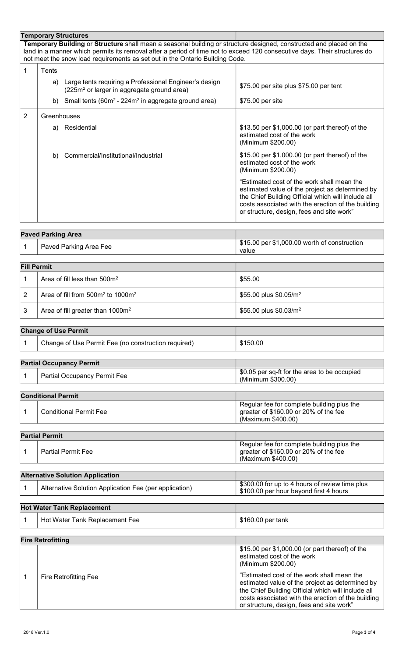| <b>Temporary Structures</b>                                                                                                                                                                                                                                                                                                      |                           |                                                                                                                     |                                                                                                                                                                                                                                                        |
|----------------------------------------------------------------------------------------------------------------------------------------------------------------------------------------------------------------------------------------------------------------------------------------------------------------------------------|---------------------------|---------------------------------------------------------------------------------------------------------------------|--------------------------------------------------------------------------------------------------------------------------------------------------------------------------------------------------------------------------------------------------------|
| Temporary Building or Structure shall mean a seasonal building or structure designed, constructed and placed on the<br>land in a manner which permits its removal after a period of time not to exceed 120 consecutive days. Their structures do<br>not meet the snow load requirements as set out in the Ontario Building Code. |                           |                                                                                                                     |                                                                                                                                                                                                                                                        |
| 1                                                                                                                                                                                                                                                                                                                                | Tents                     |                                                                                                                     |                                                                                                                                                                                                                                                        |
|                                                                                                                                                                                                                                                                                                                                  |                           | a) Large tents requiring a Professional Engineer's design<br>(225m <sup>2</sup> or larger in aggregate ground area) | \$75.00 per site plus \$75.00 per tent                                                                                                                                                                                                                 |
|                                                                                                                                                                                                                                                                                                                                  |                           | b) Small tents $(60m^2 - 224m^2)$ in aggregate ground area)                                                         | \$75.00 per site                                                                                                                                                                                                                                       |
| 2                                                                                                                                                                                                                                                                                                                                | Greenhouses               |                                                                                                                     |                                                                                                                                                                                                                                                        |
|                                                                                                                                                                                                                                                                                                                                  |                           | a) Residential                                                                                                      | \$13.50 per \$1,000.00 (or part thereof) of the<br>estimated cost of the work<br>(Minimum \$200.00)                                                                                                                                                    |
|                                                                                                                                                                                                                                                                                                                                  |                           | b) Commercial/Institutional/Industrial                                                                              | \$15.00 per \$1,000.00 (or part thereof) of the<br>estimated cost of the work<br>(Minimum \$200.00)                                                                                                                                                    |
|                                                                                                                                                                                                                                                                                                                                  |                           |                                                                                                                     | "Estimated cost of the work shall mean the<br>estimated value of the project as determined by<br>the Chief Building Official which will include all<br>costs associated with the erection of the building<br>or structure, design, fees and site work" |
|                                                                                                                                                                                                                                                                                                                                  | <b>Paved Parking Area</b> |                                                                                                                     |                                                                                                                                                                                                                                                        |
| 1                                                                                                                                                                                                                                                                                                                                |                           | Paved Parking Area Fee                                                                                              | \$15.00 per \$1,000.00 worth of construction<br>value                                                                                                                                                                                                  |

| <b>Fill Permit</b> |                                              |                                    |
|--------------------|----------------------------------------------|------------------------------------|
|                    | Area of fill less than 500m <sup>2</sup>     | \$55.00                            |
|                    | Area of fill from $500m^2$ to $1000m^2$      | \$55.00 plus \$0.05/m <sup>2</sup> |
|                    | Area of fill greater than 1000m <sup>2</sup> | \$55.00 plus \$0.03/m <sup>2</sup> |

| <b>Change of Use Permit</b> |                                                     |          |
|-----------------------------|-----------------------------------------------------|----------|
|                             | Change of Use Permit Fee (no construction required) | \$150.00 |

| <b>Partial Occupancy Permit</b> |  |                                     |                                                                    |
|---------------------------------|--|-------------------------------------|--------------------------------------------------------------------|
|                                 |  | <b>Partial Occupancy Permit Fee</b> | \$0.05 per sq-ft for the area to be occupied<br>(Minimum \$300.00) |
|                                 |  |                                     |                                                                    |

| <b>Conditional Permit</b> |                |                               |                                                                                                           |
|---------------------------|----------------|-------------------------------|-----------------------------------------------------------------------------------------------------------|
|                           |                | <b>Conditional Permit Fee</b> | Regular fee for complete building plus the<br>greater of \$160.00 or 20% of the fee<br>(Maximum \$400.00) |
|                           | Dartial Dormit |                               |                                                                                                           |

| <b>Partial Permit</b> |                    |                                                                                                           |
|-----------------------|--------------------|-----------------------------------------------------------------------------------------------------------|
|                       | Partial Permit Fee | Regular fee for complete building plus the<br>greater of \$160.00 or 20% of the fee<br>(Maximum \$400.00) |
|                       |                    |                                                                                                           |

| <b>Alternative Solution Application</b> |                                                        |                                                                                          |
|-----------------------------------------|--------------------------------------------------------|------------------------------------------------------------------------------------------|
|                                         | Alternative Solution Application Fee (per application) | \$300.00 for up to 4 hours of review time plus<br>\$100.00 per hour beyond first 4 hours |

## **Hot Water Tank Replacement** 1 Hot Water Tank Replacement Fee \$160.00 per tank

| <b>Fire Retrofitting</b> |                       |                                                                                                                                                                                                                                                        |
|--------------------------|-----------------------|--------------------------------------------------------------------------------------------------------------------------------------------------------------------------------------------------------------------------------------------------------|
|                          |                       | \$15.00 per \$1,000.00 (or part thereof) of the<br>estimated cost of the work<br>(Minimum \$200.00)                                                                                                                                                    |
|                          | Fire Retrofitting Fee | "Estimated cost of the work shall mean the<br>estimated value of the project as determined by<br>the Chief Building Official which will include all<br>costs associated with the erection of the building<br>or structure, design, fees and site work" |